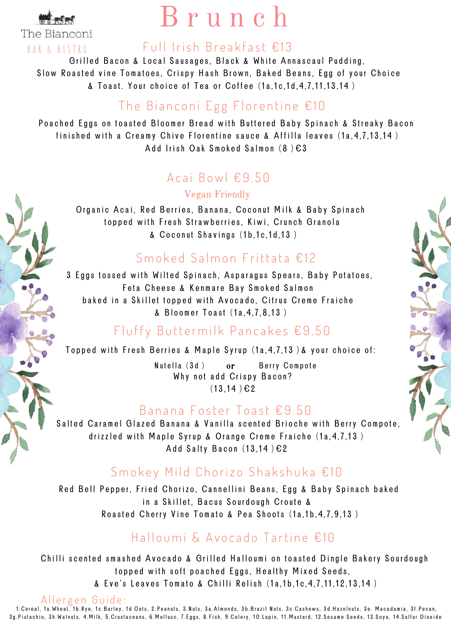

The Bianconi BAR & BISTRO

## B r u n c h

#### Full Irish Breakfast €13

Grilled Bacon & Local Sausages, Black & White Annascaul Pudding, Slow Roasted vine Tomatoes, Crispy Hash Brown, Baked Beans, Egg of your Choice  $\&$  Toast. Your choice of Tea or Coffee  $(1a, 1c, 1d, 4, 7, 11, 13, 14)$ 

## The Bianconi Egg Florentine  $£10$

Poached Eggs on toasted Bloomer Bread with Buttered Baby Spinach & Streaky Bacon finished with a Creamy Chive Florentine sauce & Affilla leaves (1a, 4, 7, 13, 14) Add Irish Oak Smoked Salmon  $(8) \epsilon 3$ 

#### Acai Bowl  $£9.50$

Vegan Friendly

Organic Acai, Red Berries, Banana, Coconut Milk & Baby Spinach topped with Fresh Strawberries, Kiwi, Crunch Granola & Coconut Shavings (1b, 1c, 1d, 13)

#### $Smoked$  Salmon Frittata  $£12$

3 Eggs tossed with Wilted Spinach, Asparagus Spears, Baby Potatoes, Feta Cheese & Kenmare Bay Smoked Salmon baked in a Skillet topped with Avocado, Citrus Creme Fraiche & Bloomer Toast (1a.4.7.8.13)

#### Fluffy Buttermilk Pancakes  $£9.50$

Topped with Fresh Berries & Maple Syrup  $(1a, 4, 7, 13)$  & your choice of:

Nutella (3d) or Berry Compote Why not add Crispy Bacon?  $(13.14) \in 2$ or

#### Banana Foster Toast € 9.50

Salted Caramel Glazed Banana & Vanilla scented Brioche with Berry Compote, drizzled with Maple Syrup & Orange Creme Fraiche  $(1a, 4, 7, 13)$ Add Salty Bacon  $(13, 14) \in 2$ 

#### Smokey Mild Chorizo Shakshuka €10

Red Bell Pepper, Fried Chorizo, Cannellini Beans, Egg & Baby Spinach baked in a Skillet, Bacus Sourdough Croute & Roasted Cherry Vine Tomato & Pea Shoots (1a, 1b, 4, 7, 9, 13)

## Halloumi & Avocado Tartine  $£10$

Chilli scented smashed Avocado & Grilled Halloumi on toasted Dingle Bakery Sourdough topped with soft poached Eggs, Healthy Mixed Seeds, & Eve's Leaves Tomato & Chilli Relish (1a, 1b, 1c, 4, 7, 11, 12, 13, 14)

Allergen Guide: 1.Cereal, 1a.Wheat, 1b.Rye, 1c.Barley, 1d.Oats, 2.Peanuts, 3.Nuts, 3a.Almonds, 3b.Brazil Nuts, 3c.Cashews, 3d.Hazelnuts, 3e. Macadamia, 3f.Pecan, 3g. Pistachio, 3h. Walnuts, 4. Milk, 5. Crustaceans, 6. Mollusc, 7. Eggs, 8. Fish, 9. Celery, 10. Lupin, 11. Mustard, 12. Sesame Seeds, 13. Soya, 14. Sulfur Dioxide